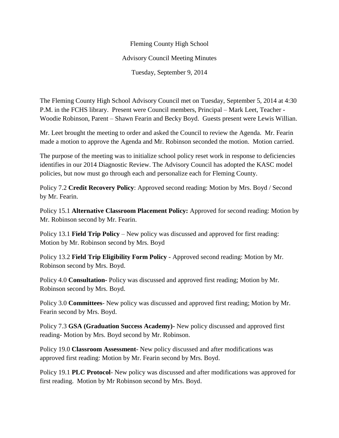## Fleming County High School Advisory Council Meeting Minutes Tuesday, September 9, 2014

The Fleming County High School Advisory Council met on Tuesday, September 5, 2014 at 4:30 P.M. in the FCHS library. Present were Council members, Principal – Mark Leet, Teacher - Woodie Robinson, Parent – Shawn Fearin and Becky Boyd. Guests present were Lewis Willian.

Mr. Leet brought the meeting to order and asked the Council to review the Agenda. Mr. Fearin made a motion to approve the Agenda and Mr. Robinson seconded the motion. Motion carried.

The purpose of the meeting was to initialize school policy reset work in response to deficiencies identifies in our 2014 Diagnostic Review. The Advisory Council has adopted the KASC model policies, but now must go through each and personalize each for Fleming County.

Policy 7.2 **Credit Recovery Policy**: Approved second reading: Motion by Mrs. Boyd / Second by Mr. Fearin.

Policy 15.1 **Alternative Classroom Placement Policy:** Approved for second reading: Motion by Mr. Robinson second by Mr. Fearin.

Policy 13.1 **Field Trip Policy** – New policy was discussed and approved for first reading: Motion by Mr. Robinson second by Mrs. Boyd

Policy 13.2 **Field Trip Eligibility Form Policy** - Approved second reading: Motion by Mr. Robinson second by Mrs. Boyd.

Policy 4.0 **Consultation-** Policy was discussed and approved first reading; Motion by Mr. Robinson second by Mrs. Boyd.

Policy 3.0 **Committees**- New policy was discussed and approved first reading; Motion by Mr. Fearin second by Mrs. Boyd.

Policy 7.3 **GSA (Graduation Success Academy)-** New policy discussed and approved first reading- Motion by Mrs. Boyd second by Mr. Robinson.

Policy 19.0 **Classroom Assessment-** New policy discussed and after modifications was approved first reading: Motion by Mr. Fearin second by Mrs. Boyd.

Policy 19.1 **PLC Protocol**- New policy was discussed and after modifications was approved for first reading. Motion by Mr Robinson second by Mrs. Boyd.